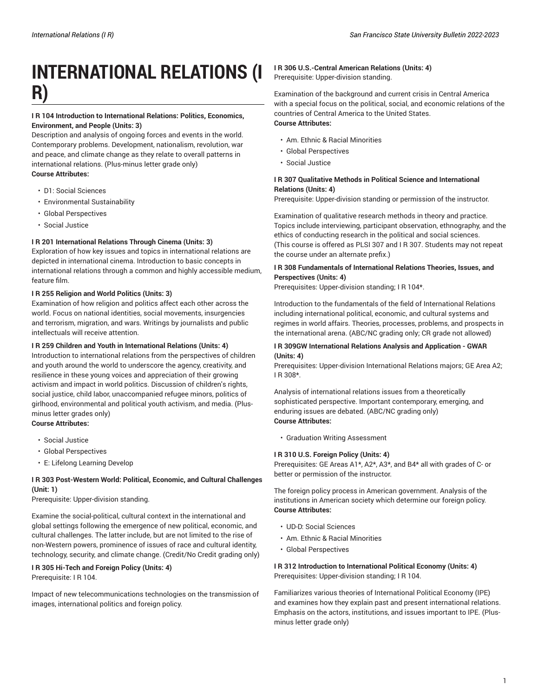# **INTERNATIONAL RELATIONS (I R)**

# **I R 104 Introduction to International Relations: Politics, Economics, Environment, and People (Units: 3)**

Description and analysis of ongoing forces and events in the world. Contemporary problems. Development, nationalism, revolution, war and peace, and climate change as they relate to overall patterns in international relations. (Plus-minus letter grade only) **Course Attributes:**

- D1: Social Sciences
- Environmental Sustainability
- Global Perspectives
- Social Justice

### **I R 201 International Relations Through Cinema (Units: 3)**

Exploration of how key issues and topics in international relations are depicted in international cinema. Introduction to basic concepts in international relations through a common and highly accessible medium, feature film.

#### **I R 255 Religion and World Politics (Units: 3)**

Examination of how religion and politics affect each other across the world. Focus on national identities, social movements, insurgencies and terrorism, migration, and wars. Writings by journalists and public intellectuals will receive attention.

#### **I R 259 Children and Youth in International Relations (Units: 4)**

Introduction to international relations from the perspectives of children and youth around the world to underscore the agency, creativity, and resilience in these young voices and appreciation of their growing activism and impact in world politics. Discussion of children's rights, social justice, child labor, unaccompanied refugee minors, politics of girlhood, environmental and political youth activism, and media. (Plusminus letter grades only) **Course Attributes:**

• Social Justice

- Global Perspectives
- E: Lifelong Learning Develop

### **I R 303 Post-Western World: Political, Economic, and Cultural Challenges (Unit: 1)**

Prerequisite: Upper-division standing.

Examine the social-political, cultural context in the international and global settings following the emergence of new political, economic, and cultural challenges. The latter include, but are not limited to the rise of non-Western powers, prominence of issues of race and cultural identity, technology, security, and climate change. (Credit/No Credit grading only)

**I R 305 Hi-Tech and Foreign Policy (Units: 4)** Prerequisite: I R 104.

Impact of new telecommunications technologies on the transmission of images, international politics and foreign policy.

## **I R 306 U.S.-Central American Relations (Units: 4)** Prerequisite: Upper-division standing.

Examination of the background and current crisis in Central America with a special focus on the political, social, and economic relations of the countries of Central America to the United States. **Course Attributes:**

- Am. Ethnic & Racial Minorities
- Global Perspectives
- Social Justice

# **I R 307 Qualitative Methods in Political Science and International Relations (Units: 4)**

Prerequisite: Upper-division standing or permission of the instructor.

Examination of qualitative research methods in theory and practice. Topics include interviewing, participant observation, ethnography, and the ethics of conducting research in the political and social sciences. (This course is offered as PLSI 307 and I R 307. Students may not repeat the course under an alternate prefix.)

## **I R 308 Fundamentals of International Relations Theories, Issues, and Perspectives (Units: 4)**

Prerequisites: Upper-division standing; I R 104\*.

Introduction to the fundamentals of the field of International Relations including international political, economic, and cultural systems and regimes in world affairs. Theories, processes, problems, and prospects in the international arena. (ABC/NC grading only; CR grade not allowed)

#### **I R 309GW International Relations Analysis and Application - GWAR (Units: 4)**

Prerequisites: Upper-division International Relations majors; GE Area A2; I R 308\*.

Analysis of international relations issues from a theoretically sophisticated perspective. Important contemporary, emerging, and enduring issues are debated. (ABC/NC grading only) **Course Attributes:**

• Graduation Writing Assessment

#### **I R 310 U.S. Foreign Policy (Units: 4)**

Prerequisites: GE Areas A1\*, A2\*, A3\*, and B4\* all with grades of C- or better or permission of the instructor.

The foreign policy process in American government. Analysis of the institutions in American society which determine our foreign policy. **Course Attributes:**

- UD-D: Social Sciences
- Am. Ethnic & Racial Minorities
- Global Perspectives

**I R 312 Introduction to International Political Economy (Units: 4)** Prerequisites: Upper-division standing; I R 104.

Familiarizes various theories of International Political Economy (IPE) and examines how they explain past and present international relations. Emphasis on the actors, institutions, and issues important to IPE. (Plusminus letter grade only)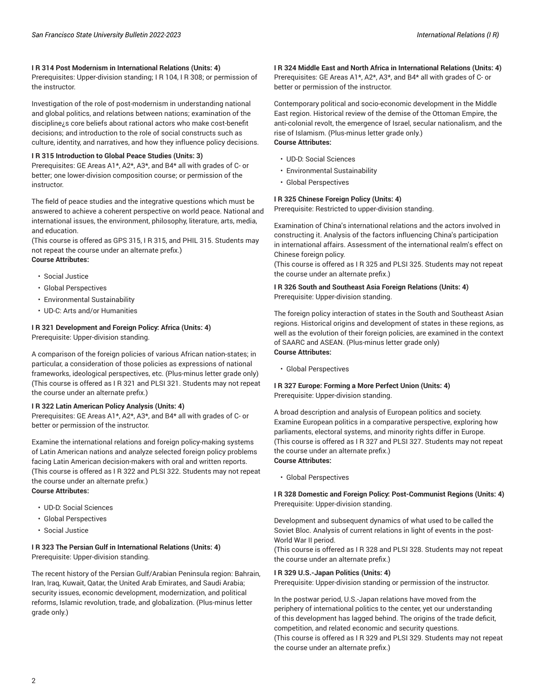#### **I R 314 Post Modernism in International Relations (Units: 4)**

Prerequisites: Upper-division standing; I R 104, I R 308; or permission of the instructor.

Investigation of the role of post-modernism in understanding national and global politics, and relations between nations; examination of the discipline¿s core beliefs about rational actors who make cost-benefit decisions; and introduction to the role of social constructs such as culture, identity, and narratives, and how they influence policy decisions.

#### **I R 315 Introduction to Global Peace Studies (Units: 3)**

Prerequisites: GE Areas A1\*, A2\*, A3\*, and B4\* all with grades of C- or better; one lower-division composition course; or permission of the instructor.

The field of peace studies and the integrative questions which must be answered to achieve a coherent perspective on world peace. National and international issues, the environment, philosophy, literature, arts, media, and education.

(This course is offered as GPS 315, I R 315, and PHIL 315. Students may not repeat the course under an alternate prefix.) **Course Attributes:**

- Social Justice
- Global Perspectives
- Environmental Sustainability
- UD-C: Arts and/or Humanities

#### **I R 321 Development and Foreign Policy: Africa (Units: 4)** Prerequisite: Upper-division standing.

A comparison of the foreign policies of various African nation-states; in particular, a consideration of those policies as expressions of national frameworks, ideological perspectives, etc. (Plus-minus letter grade only) (This course is offered as I R 321 and PLSI 321. Students may not repeat the course under an alternate prefix.)

#### **I R 322 Latin American Policy Analysis (Units: 4)**

Prerequisites: GE Areas A1\*, A2\*, A3\*, and B4\* all with grades of C- or better or permission of the instructor.

Examine the international relations and foreign policy-making systems of Latin American nations and analyze selected foreign policy problems facing Latin American decision-makers with oral and written reports. (This course is offered as I R 322 and PLSI 322. Students may not repeat the course under an alternate prefix.) **Course Attributes:**

- UD-D: Social Sciences
- Global Perspectives
- Social Justice

#### **I R 323 The Persian Gulf in International Relations (Units: 4)** Prerequisite: Upper-division standing.

The recent history of the Persian Gulf/Arabian Peninsula region: Bahrain, Iran, Iraq, Kuwait, Qatar, the United Arab Emirates, and Saudi Arabia; security issues, economic development, modernization, and political reforms, Islamic revolution, trade, and globalization. (Plus-minus letter grade only.)

# **I R 324 Middle East and North Africa in International Relations (Units: 4)** Prerequisites: GE Areas A1\*, A2\*, A3\*, and B4\* all with grades of C- or better or permission of the instructor.

Contemporary political and socio-economic development in the Middle East region. Historical review of the demise of the Ottoman Empire, the anti-colonial revolt, the emergence of Israel, secular nationalism, and the rise of Islamism. (Plus-minus letter grade only.) **Course Attributes:**

#### • UD-D: Social Sciences

- Environmental Sustainability
- Global Perspectives

#### **I R 325 Chinese Foreign Policy (Units: 4)**

Prerequisite: Restricted to upper-division standing.

Examination of China's international relations and the actors involved in constructing it. Analysis of the factors influencing China's participation in international affairs. Assessment of the international realm's effect on Chinese foreign policy.

(This course is offered as I R 325 and PLSI 325. Students may not repeat the course under an alternate prefix.)

**I R 326 South and Southeast Asia Foreign Relations (Units: 4)** Prerequisite: Upper-division standing.

The foreign policy interaction of states in the South and Southeast Asian regions. Historical origins and development of states in these regions, as well as the evolution of their foreign policies, are examined in the context of SAARC and ASEAN. (Plus-minus letter grade only) **Course Attributes:**

• Global Perspectives

#### **I R 327 Europe: Forming a More Perfect Union (Units: 4)** Prerequisite: Upper-division standing.

A broad description and analysis of European politics and society. Examine European politics in a comparative perspective, exploring how parliaments, electoral systems, and minority rights differ in Europe. (This course is offered as I R 327 and PLSI 327. Students may not repeat the course under an alternate prefix.) **Course Attributes:**

• Global Perspectives

#### **I R 328 Domestic and Foreign Policy: Post-Communist Regions (Units: 4)** Prerequisite: Upper-division standing.

Development and subsequent dynamics of what used to be called the Soviet Bloc. Analysis of current relations in light of events in the post-World War II period.

(This course is offered as I R 328 and PLSI 328. Students may not repeat the course under an alternate prefix.)

#### **I R 329 U.S.-Japan Politics (Units: 4)**

Prerequisite: Upper-division standing or permission of the instructor.

In the postwar period, U.S.-Japan relations have moved from the periphery of international politics to the center, yet our understanding of this development has lagged behind. The origins of the trade deficit, competition, and related economic and security questions. (This course is offered as I R 329 and PLSI 329. Students may not repeat the course under an alternate prefix.)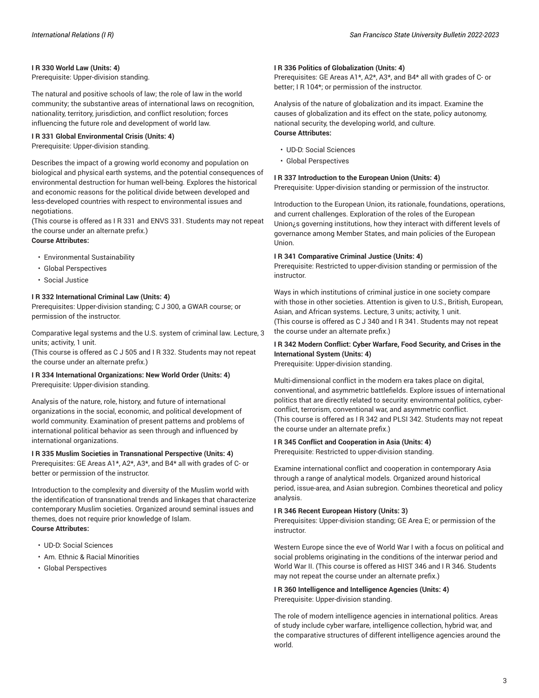#### **I R 330 World Law (Units: 4)**

Prerequisite: Upper-division standing.

The natural and positive schools of law; the role of law in the world community; the substantive areas of international laws on recognition, nationality, territory, jurisdiction, and conflict resolution; forces influencing the future role and development of world law.

#### **I R 331 Global Environmental Crisis (Units: 4)**

Prerequisite: Upper-division standing.

Describes the impact of a growing world economy and population on biological and physical earth systems, and the potential consequences of environmental destruction for human well-being. Explores the historical and economic reasons for the political divide between developed and less-developed countries with respect to environmental issues and negotiations.

(This course is offered as I R 331 and ENVS 331. Students may not repeat the course under an alternate prefix.)

# **Course Attributes:**

- Environmental Sustainability
- Global Perspectives
- Social Justice

### **I R 332 International Criminal Law (Units: 4)**

Prerequisites: Upper-division standing; C J 300, a GWAR course; or permission of the instructor.

Comparative legal systems and the U.S. system of criminal law. Lecture, 3 units; activity, 1 unit.

(This course is offered as C J 505 and I R 332. Students may not repeat the course under an alternate prefix.)

#### **I R 334 International Organizations: New World Order (Units: 4)** Prerequisite: Upper-division standing.

Analysis of the nature, role, history, and future of international organizations in the social, economic, and political development of world community. Examination of present patterns and problems of international political behavior as seen through and influenced by international organizations.

#### **I R 335 Muslim Societies in Transnational Perspective (Units: 4)**

Prerequisites: GE Areas A1\*, A2\*, A3\*, and B4\* all with grades of C- or better or permission of the instructor.

Introduction to the complexity and diversity of the Muslim world with the identification of transnational trends and linkages that characterize contemporary Muslim societies. Organized around seminal issues and themes, does not require prior knowledge of Islam. **Course Attributes:**

- UD-D: Social Sciences
- Am. Ethnic & Racial Minorities
- Global Perspectives

#### **I R 336 Politics of Globalization (Units: 4)**

Prerequisites: GE Areas A1\*, A2\*, A3\*, and B4\* all with grades of C- or better; I R 104\*; or permission of the instructor.

Analysis of the nature of globalization and its impact. Examine the causes of globalization and its effect on the state, policy autonomy, national security, the developing world, and culture. **Course Attributes:**

- UD-D: Social Sciences
- Global Perspectives

#### **I R 337 Introduction to the European Union (Units: 4)**

Prerequisite: Upper-division standing or permission of the instructor.

Introduction to the European Union, its rationale, foundations, operations, and current challenges. Exploration of the roles of the European Union¿s governing institutions, how they interact with different levels of governance among Member States, and main policies of the European Union.

#### **I R 341 Comparative Criminal Justice (Units: 4)**

Prerequisite: Restricted to upper-division standing or permission of the instructor.

Ways in which institutions of criminal justice in one society compare with those in other societies. Attention is given to U.S., British, European, Asian, and African systems. Lecture, 3 units; activity, 1 unit. (This course is offered as C J 340 and I R 341. Students may not repeat

the course under an alternate prefix.)

# **I R 342 Modern Conflict: Cyber Warfare, Food Security, and Crises in the International System (Units: 4)**

Prerequisite: Upper-division standing.

Multi-dimensional conflict in the modern era takes place on digital, conventional, and asymmetric battlefields. Explore issues of international politics that are directly related to security: environmental politics, cyberconflict, terrorism, conventional war, and asymmetric conflict. (This course is offered as I R 342 and PLSI 342. Students may not repeat the course under an alternate prefix.)

#### **I R 345 Conflict and Cooperation in Asia (Units: 4)**

Prerequisite: Restricted to upper-division standing.

Examine international conflict and cooperation in contemporary Asia through a range of analytical models. Organized around historical period, issue-area, and Asian subregion. Combines theoretical and policy analysis.

#### **I R 346 Recent European History (Units: 3)**

Prerequisites: Upper-division standing; GE Area E; or permission of the instructor.

Western Europe since the eve of World War I with a focus on political and social problems originating in the conditions of the interwar period and World War II. (This course is offered as HIST 346 and I R 346. Students may not repeat the course under an alternate prefix.)

**I R 360 Intelligence and Intelligence Agencies (Units: 4)** Prerequisite: Upper-division standing.

The role of modern intelligence agencies in international politics. Areas of study include cyber warfare, intelligence collection, hybrid war, and the comparative structures of different intelligence agencies around the world.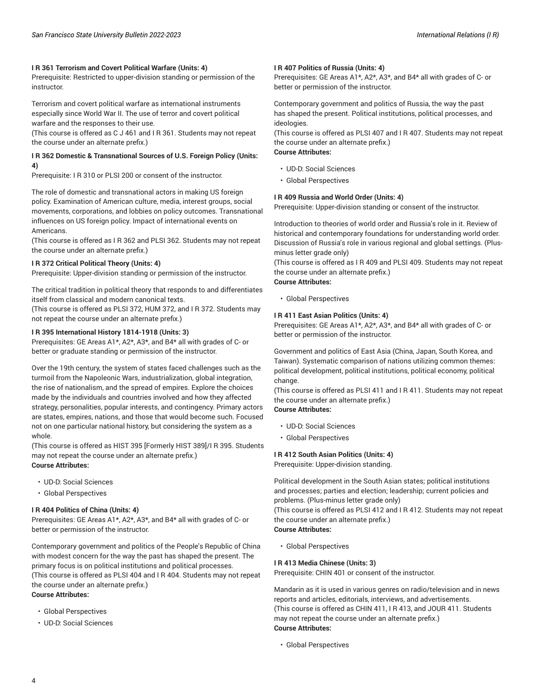#### **I R 361 Terrorism and Covert Political Warfare (Units: 4)**

Prerequisite: Restricted to upper-division standing or permission of the instructor.

Terrorism and covert political warfare as international instruments especially since World War II. The use of terror and covert political warfare and the responses to their use.

(This course is offered as C J 461 and I R 361. Students may not repeat the course under an alternate prefix.)

# **I R 362 Domestic & Transnational Sources of U.S. Foreign Policy (Units: 4)**

Prerequisite: I R 310 or PLSI 200 or consent of the instructor.

The role of domestic and transnational actors in making US foreign policy. Examination of American culture, media, interest groups, social movements, corporations, and lobbies on policy outcomes. Transnational influences on US foreign policy. Impact of international events on Americans.

(This course is offered as I R 362 and PLSI 362. Students may not repeat the course under an alternate prefix.)

#### **I R 372 Critical Political Theory (Units: 4)**

Prerequisite: Upper-division standing or permission of the instructor.

The critical tradition in political theory that responds to and differentiates itself from classical and modern canonical texts.

(This course is offered as PLSI 372, HUM 372, and I R 372. Students may not repeat the course under an alternate prefix.)

#### **I R 395 International History 1814-1918 (Units: 3)**

Prerequisites: GE Areas A1\*, A2\*, A3\*, and B4\* all with grades of C- or better or graduate standing or permission of the instructor.

Over the 19th century, the system of states faced challenges such as the turmoil from the Napoleonic Wars, industrialization, global integration, the rise of nationalism, and the spread of empires. Explore the choices made by the individuals and countries involved and how they affected strategy, personalities, popular interests, and contingency. Primary actors are states, empires, nations, and those that would become such. Focused not on one particular national history, but considering the system as a whole.

(This course is offered as HIST 395 [Formerly HIST 389]/I R 395. Students may not repeat the course under an alternate prefix.) **Course Attributes:**

- UD-D: Social Sciences
- Global Perspectives

#### **I R 404 Politics of China (Units: 4)**

Prerequisites: GE Areas A1\*, A2\*, A3\*, and B4\* all with grades of C- or better or permission of the instructor.

Contemporary government and politics of the People's Republic of China with modest concern for the way the past has shaped the present. The primary focus is on political institutions and political processes. (This course is offered as PLSI 404 and I R 404. Students may not repeat the course under an alternate prefix.)

**Course Attributes:**

- Global Perspectives
- UD-D: Social Sciences

### **I R 407 Politics of Russia (Units: 4)**

Prerequisites: GE Areas A1\*, A2\*, A3\*, and B4\* all with grades of C- or better or permission of the instructor.

Contemporary government and politics of Russia, the way the past has shaped the present. Political institutions, political processes, and ideologies.

(This course is offered as PLSI 407 and I R 407. Students may not repeat the course under an alternate prefix.)

**Course Attributes:**

- UD-D: Social Sciences
- Global Perspectives

#### **I R 409 Russia and World Order (Units: 4)**

Prerequisite: Upper-division standing or consent of the instructor.

Introduction to theories of world order and Russia's role in it. Review of historical and contemporary foundations for understanding world order. Discussion of Russia's role in various regional and global settings. (Plusminus letter grade only)

(This course is offered as I R 409 and PLSI 409. Students may not repeat the course under an alternate prefix.)

# **Course Attributes:**

• Global Perspectives

#### **I R 411 East Asian Politics (Units: 4)**

Prerequisites: GE Areas A1\*, A2\*, A3\*, and B4\* all with grades of C- or better or permission of the instructor.

Government and politics of East Asia (China, Japan, South Korea, and Taiwan). Systematic comparison of nations utilizing common themes: political development, political institutions, political economy, political change.

(This course is offered as PLSI 411 and I R 411. Students may not repeat the course under an alternate prefix.)

# **Course Attributes:**

- UD-D: Social Sciences
- Global Perspectives

# **I R 412 South Asian Politics (Units: 4)**

Prerequisite: Upper-division standing.

Political development in the South Asian states; political institutions and processes; parties and election; leadership; current policies and problems. (Plus-minus letter grade only)

(This course is offered as PLSI 412 and I R 412. Students may not repeat the course under an alternate prefix.)

### **Course Attributes:**

• Global Perspectives

#### **I R 413 Media Chinese (Units: 3)**

Prerequisite: CHIN 401 or consent of the instructor.

Mandarin as it is used in various genres on radio/television and in news reports and articles, editorials, interviews, and advertisements. (This course is offered as CHIN 411, I R 413, and JOUR 411. Students may not repeat the course under an alternate prefix.) **Course Attributes:**

• Global Perspectives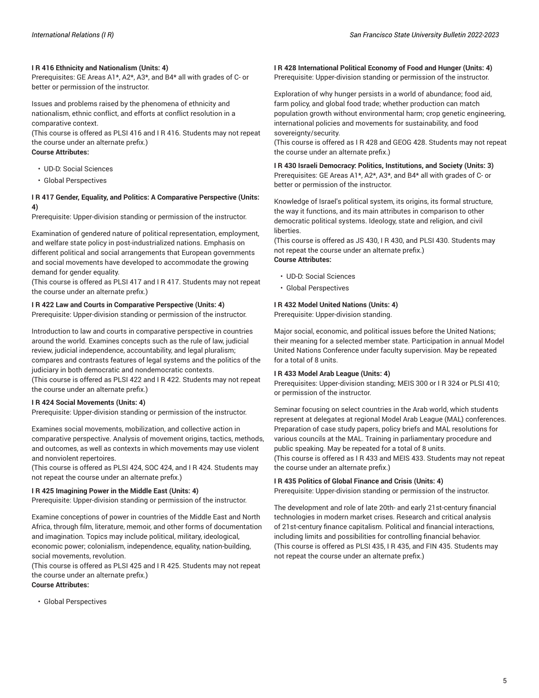#### **I R 416 Ethnicity and Nationalism (Units: 4)**

Prerequisites: GE Areas A1\*, A2\*, A3\*, and B4\* all with grades of C- or better or permission of the instructor.

Issues and problems raised by the phenomena of ethnicity and nationalism, ethnic conflict, and efforts at conflict resolution in a comparative context.

(This course is offered as PLSI 416 and I R 416. Students may not repeat the course under an alternate prefix.) **Course Attributes:**

- UD-D: Social Sciences
- Global Perspectives

#### **I R 417 Gender, Equality, and Politics: A Comparative Perspective (Units: 4)**

Prerequisite: Upper-division standing or permission of the instructor.

Examination of gendered nature of political representation, employment, and welfare state policy in post-industrialized nations. Emphasis on different political and social arrangements that European governments and social movements have developed to accommodate the growing demand for gender equality.

(This course is offered as PLSI 417 and I R 417. Students may not repeat the course under an alternate prefix.)

#### **I R 422 Law and Courts in Comparative Perspective (Units: 4)**

Prerequisite: Upper-division standing or permission of the instructor.

Introduction to law and courts in comparative perspective in countries around the world. Examines concepts such as the rule of law, judicial review, judicial independence, accountability, and legal pluralism; compares and contrasts features of legal systems and the politics of the judiciary in both democratic and nondemocratic contexts. (This course is offered as PLSI 422 and I R 422. Students may not repeat the course under an alternate prefix.)

#### **I R 424 Social Movements (Units: 4)**

Prerequisite: Upper-division standing or permission of the instructor.

Examines social movements, mobilization, and collective action in comparative perspective. Analysis of movement origins, tactics, methods, and outcomes, as well as contexts in which movements may use violent and nonviolent repertoires.

(This course is offered as PLSI 424, SOC 424, and I R 424. Students may not repeat the course under an alternate prefix.)

#### **I R 425 Imagining Power in the Middle East (Units: 4)**

Prerequisite: Upper-division standing or permission of the instructor.

Examine conceptions of power in countries of the Middle East and North Africa, through film, literature, memoir, and other forms of documentation and imagination. Topics may include political, military, ideological, economic power; colonialism, independence, equality, nation-building, social movements, revolution.

(This course is offered as PLSI 425 and I R 425. Students may not repeat the course under an alternate prefix.)

# **Course Attributes:**

• Global Perspectives

#### **I R 428 International Political Economy of Food and Hunger (Units: 4)** Prerequisite: Upper-division standing or permission of the instructor.

Exploration of why hunger persists in a world of abundance; food aid, farm policy, and global food trade; whether production can match population growth without environmental harm; crop genetic engineering, international policies and movements for sustainability, and food sovereignty/security.

(This course is offered as I R 428 and GEOG 428. Students may not repeat the course under an alternate prefix.)

**I R 430 Israeli Democracy: Politics, Institutions, and Society (Units: 3)** Prerequisites: GE Areas A1\*, A2\*, A3\*, and B4\* all with grades of C- or better or permission of the instructor.

Knowledge of Israel's political system, its origins, its formal structure, the way it functions, and its main attributes in comparison to other democratic political systems. Ideology, state and religion, and civil liberties.

(This course is offered as JS 430, I R 430, and PLSI 430. Students may not repeat the course under an alternate prefix.) **Course Attributes:**

- UD-D: Social Sciences
- Global Perspectives

#### **I R 432 Model United Nations (Units: 4)**

Prerequisite: Upper-division standing.

Major social, economic, and political issues before the United Nations; their meaning for a selected member state. Participation in annual Model United Nations Conference under faculty supervision. May be repeated for a total of 8 units.

#### **I R 433 Model Arab League (Units: 4)**

Prerequisites: Upper-division standing; MEIS 300 or I R 324 or PLSI 410; or permission of the instructor.

Seminar focusing on select countries in the Arab world, which students represent at delegates at regional Model Arab League (MAL) conferences. Preparation of case study papers, policy briefs and MAL resolutions for various councils at the MAL. Training in parliamentary procedure and public speaking. May be repeated for a total of 8 units. (This course is offered as I R 433 and MEIS 433. Students may not repeat

the course under an alternate prefix.)

#### **I R 435 Politics of Global Finance and Crisis (Units: 4)**

Prerequisite: Upper-division standing or permission of the instructor.

The development and role of late 20th- and early 21st-century financial technologies in modern market crises. Research and critical analysis of 21st-century finance capitalism. Political and financial interactions, including limits and possibilities for controlling financial behavior. (This course is offered as PLSI 435, I R 435, and FIN 435. Students may not repeat the course under an alternate prefix.)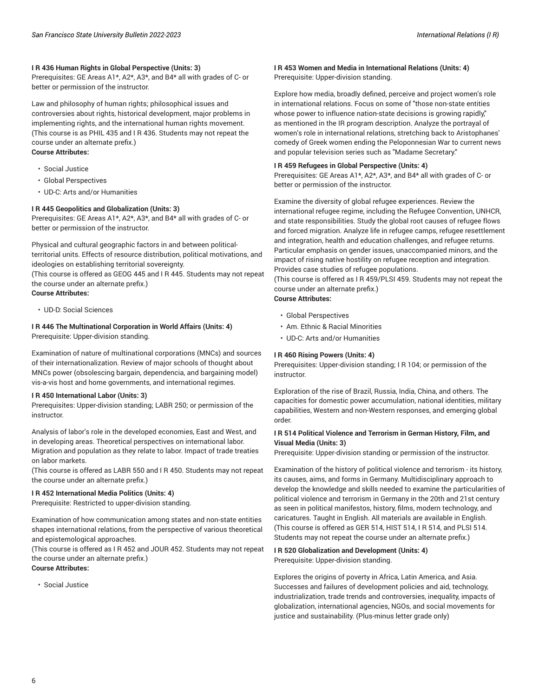#### **I R 436 Human Rights in Global Perspective (Units: 3)**

Prerequisites: GE Areas A1\*, A2\*, A3\*, and B4\* all with grades of C- or better or permission of the instructor.

Law and philosophy of human rights; philosophical issues and controversies about rights, historical development, major problems in implementing rights, and the international human rights movement. (This course is as PHIL 435 and I R 436. Students may not repeat the course under an alternate prefix.) **Course Attributes:**

- Social Justice
- Global Perspectives
- UD-C: Arts and/or Humanities

#### **I R 445 Geopolitics and Globalization (Units: 3)**

Prerequisites: GE Areas A1\*, A2\*, A3\*, and B4\* all with grades of C- or better or permission of the instructor.

Physical and cultural geographic factors in and between politicalterritorial units. Effects of resource distribution, political motivations, and ideologies on establishing territorial sovereignty.

(This course is offered as GEOG 445 and I R 445. Students may not repeat the course under an alternate prefix.)

**Course Attributes:**

• UD-D: Social Sciences

#### **I R 446 The Multinational Corporation in World Affairs (Units: 4)** Prerequisite: Upper-division standing.

Examination of nature of multinational corporations (MNCs) and sources of their internationalization. Review of major schools of thought about MNCs power (obsolescing bargain, dependencia, and bargaining model) vis-a-vis host and home governments, and international regimes.

#### **I R 450 International Labor (Units: 3)**

Prerequisites: Upper-division standing; LABR 250; or permission of the instructor.

Analysis of labor's role in the developed economies, East and West, and in developing areas. Theoretical perspectives on international labor. Migration and population as they relate to labor. Impact of trade treaties on labor markets.

(This course is offered as LABR 550 and I R 450. Students may not repeat the course under an alternate prefix.)

#### **I R 452 International Media Politics (Units: 4)**

Prerequisite: Restricted to upper-division standing.

Examination of how communication among states and non-state entities shapes international relations, from the perspective of various theoretical and epistemological approaches.

(This course is offered as I R 452 and JOUR 452. Students may not repeat the course under an alternate prefix.) **Course Attributes:**

• Social Justice

# **I R 453 Women and Media in International Relations (Units: 4)**

Prerequisite: Upper-division standing.

Explore how media, broadly defined, perceive and project women's role in international relations. Focus on some of "those non-state entities whose power to influence nation-state decisions is growing rapidly," as mentioned in the IR program description. Analyze the portrayal of women's role in international relations, stretching back to Aristophanes' comedy of Greek women ending the Peloponnesian War to current news and popular television series such as "Madame Secretary."

#### **I R 459 Refugees in Global Perspective (Units: 4)**

Prerequisites: GE Areas A1\*, A2\*, A3\*, and B4\* all with grades of C- or better or permission of the instructor.

Examine the diversity of global refugee experiences. Review the international refugee regime, including the Refugee Convention, UNHCR, and state responsibilities. Study the global root causes of refugee flows and forced migration. Analyze life in refugee camps, refugee resettlement and integration, health and education challenges, and refugee returns. Particular emphasis on gender issues, unaccompanied minors, and the impact of rising native hostility on refugee reception and integration. Provides case studies of refugee populations.

(This course is offered as I R 459/PLSI 459. Students may not repeat the course under an alternate prefix.) **Course Attributes:**

- Global Perspectives
- Am. Ethnic & Racial Minorities
- UD-C: Arts and/or Humanities

#### **I R 460 Rising Powers (Units: 4)**

Prerequisites: Upper-division standing; I R 104; or permission of the instructor.

Exploration of the rise of Brazil, Russia, India, China, and others. The capacities for domestic power accumulation, national identities, military capabilities, Western and non-Western responses, and emerging global order.

#### **I R 514 Political Violence and Terrorism in German History, Film, and Visual Media (Units: 3)**

Prerequisite: Upper-division standing or permission of the instructor.

Examination of the history of political violence and terrorism - its history, its causes, aims, and forms in Germany. Multidisciplinary approach to develop the knowledge and skills needed to examine the particularities of political violence and terrorism in Germany in the 20th and 21st century as seen in political manifestos, history, films, modern technology, and caricatures. Taught in English. All materials are available in English. (This course is offered as GER 514, HIST 514, I R 514, and PLSI 514. Students may not repeat the course under an alternate prefix.)

#### **I R 520 Globalization and Development (Units: 4)** Prerequisite: Upper-division standing.

Explores the origins of poverty in Africa, Latin America, and Asia. Successes and failures of development policies and aid, technology, industrialization, trade trends and controversies, inequality, impacts of globalization, international agencies, NGOs, and social movements for justice and sustainability. (Plus-minus letter grade only)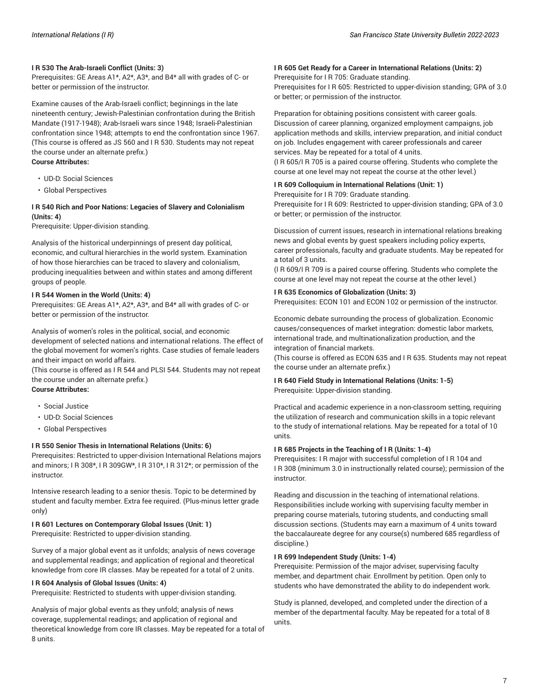#### **I R 530 The Arab-Israeli Conflict (Units: 3)**

Prerequisites: GE Areas A1\*, A2\*, A3\*, and B4\* all with grades of C- or better or permission of the instructor.

Examine causes of the Arab-Israeli conflict; beginnings in the late nineteenth century; Jewish-Palestinian confrontation during the British Mandate (1917-1948); Arab-Israeli wars since 1948; Israeli-Palestinian confrontation since 1948; attempts to end the confrontation since 1967. (This course is offered as JS 560 and I R 530. Students may not repeat the course under an alternate prefix.) **Course Attributes:**

- UD-D: Social Sciences
- Global Perspectives

# **I R 540 Rich and Poor Nations: Legacies of Slavery and Colonialism (Units: 4)**

Prerequisite: Upper-division standing.

Analysis of the historical underpinnings of present day political, economic, and cultural hierarchies in the world system. Examination of how those hierarchies can be traced to slavery and colonialism, producing inequalities between and within states and among different groups of people.

#### **I R 544 Women in the World (Units: 4)**

Prerequisites: GE Areas A1\*, A2\*, A3\*, and B4\* all with grades of C- or better or permission of the instructor.

Analysis of women's roles in the political, social, and economic development of selected nations and international relations. The effect of the global movement for women's rights. Case studies of female leaders and their impact on world affairs.

(This course is offered as I R 544 and PLSI 544. Students may not repeat the course under an alternate prefix.)

# **Course Attributes:**

- Social Justice
- UD-D: Social Sciences
- Global Perspectives

#### **I R 550 Senior Thesis in International Relations (Units: 6)**

Prerequisites: Restricted to upper-division International Relations majors and minors; I R 308\*, I R 309GW\*, I R 310\*, I R 312\*; or permission of the instructor.

Intensive research leading to a senior thesis. Topic to be determined by student and faculty member. Extra fee required. (Plus-minus letter grade only)

# **I R 601 Lectures on Contemporary Global Issues (Unit: 1)**

Prerequisite: Restricted to upper-division standing.

Survey of a major global event as it unfolds; analysis of news coverage and supplemental readings; and application of regional and theoretical knowledge from core IR classes. May be repeated for a total of 2 units.

#### **I R 604 Analysis of Global Issues (Units: 4)**

Prerequisite: Restricted to students with upper-division standing.

Analysis of major global events as they unfold; analysis of news coverage, supplemental readings; and application of regional and theoretical knowledge from core IR classes. May be repeated for a total of 8 units.

#### **I R 605 Get Ready for a Career in International Relations (Units: 2)**

Prerequisite for I R 705: Graduate standing.

Prerequisites for I R 605: Restricted to upper-division standing; GPA of 3.0 or better; or permission of the instructor.

#### Preparation for obtaining positions consistent with career goals.

Discussion of career planning, organized employment campaigns, job application methods and skills, interview preparation, and initial conduct on job. Includes engagement with career professionals and career services. May be repeated for a total of 4 units.

(I R 605/I R 705 is a paired course offering. Students who complete the course at one level may not repeat the course at the other level.)

#### **I R 609 Colloquium in International Relations (Unit: 1)**

Prerequisite for I R 709: Graduate standing.

Prerequisite for I R 609: Restricted to upper-division standing; GPA of 3.0 or better; or permission of the instructor.

Discussion of current issues, research in international relations breaking news and global events by guest speakers including policy experts, career professionals, faculty and graduate students. May be repeated for a total of 3 units.

(I R 609/I R 709 is a paired course offering. Students who complete the course at one level may not repeat the course at the other level.)

#### **I R 635 Economics of Globalization (Units: 3)**

Prerequisites: ECON 101 and ECON 102 or permission of the instructor.

Economic debate surrounding the process of globalization. Economic causes/consequences of market integration: domestic labor markets, international trade, and multinationalization production, and the integration of financial markets.

(This course is offered as ECON 635 and I R 635. Students may not repeat the course under an alternate prefix.)

#### **I R 640 Field Study in International Relations (Units: 1-5)** Prerequisite: Upper-division standing.

Practical and academic experience in a non-classroom setting, requiring the utilization of research and communication skills in a topic relevant to the study of international relations. May be repeated for a total of 10 units.

#### **I R 685 Projects in the Teaching of I R (Units: 1-4)**

Prerequisites: I R major with successful completion of I R 104 and I R 308 (minimum 3.0 in instructionally related course); permission of the instructor.

Reading and discussion in the teaching of international relations. Responsibilities include working with supervising faculty member in preparing course materials, tutoring students, and conducting small discussion sections. (Students may earn a maximum of 4 units toward the baccalaureate degree for any course(s) numbered 685 regardless of discipline.)

#### **I R 699 Independent Study (Units: 1-4)**

Prerequisite: Permission of the major adviser, supervising faculty member, and department chair. Enrollment by petition. Open only to students who have demonstrated the ability to do independent work.

Study is planned, developed, and completed under the direction of a member of the departmental faculty. May be repeated for a total of 8 units.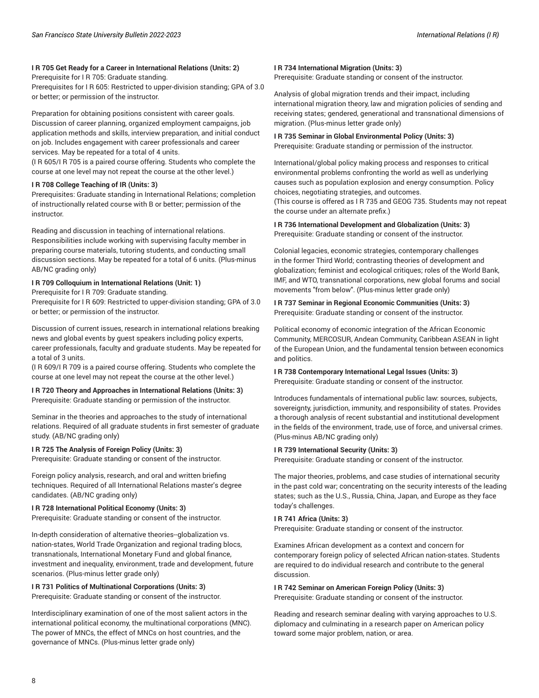### **I R 705 Get Ready for a Career in International Relations (Units: 2)**

Prerequisite for I R 705: Graduate standing.

Prerequisites for I R 605: Restricted to upper-division standing; GPA of 3.0 or better; or permission of the instructor.

Preparation for obtaining positions consistent with career goals. Discussion of career planning, organized employment campaigns, job application methods and skills, interview preparation, and initial conduct on job. Includes engagement with career professionals and career services. May be repeated for a total of 4 units.

(I R 605/I R 705 is a paired course offering. Students who complete the course at one level may not repeat the course at the other level.)

#### **I R 708 College Teaching of IR (Units: 3)**

Prerequisites: Graduate standing in International Relations; completion of instructionally related course with B or better; permission of the instructor.

Reading and discussion in teaching of international relations. Responsibilities include working with supervising faculty member in preparing course materials, tutoring students, and conducting small discussion sections. May be repeated for a total of 6 units. (Plus-minus AB/NC grading only)

### **I R 709 Colloquium in International Relations (Unit: 1)**

Prerequisite for I R 709: Graduate standing.

Prerequisite for I R 609: Restricted to upper-division standing; GPA of 3.0 or better; or permission of the instructor.

Discussion of current issues, research in international relations breaking news and global events by guest speakers including policy experts, career professionals, faculty and graduate students. May be repeated for a total of 3 units.

(I R 609/I R 709 is a paired course offering. Students who complete the course at one level may not repeat the course at the other level.)

# **I R 720 Theory and Approaches in International Relations (Units: 3)** Prerequisite: Graduate standing or permission of the instructor.

Seminar in the theories and approaches to the study of international relations. Required of all graduate students in first semester of graduate study. (AB/NC grading only)

# **I R 725 The Analysis of Foreign Policy (Units: 3)**

Prerequisite: Graduate standing or consent of the instructor.

Foreign policy analysis, research, and oral and written briefing techniques. Required of all International Relations master's degree candidates. (AB/NC grading only)

#### **I R 728 International Political Economy (Units: 3)**

Prerequisite: Graduate standing or consent of the instructor.

In-depth consideration of alternative theories--globalization vs. nation-states, World Trade Organization and regional trading blocs, transnationals, International Monetary Fund and global finance, investment and inequality, environment, trade and development, future scenarios. (Plus-minus letter grade only)

# **I R 731 Politics of Multinational Corporations (Units: 3)**

Prerequisite: Graduate standing or consent of the instructor.

Interdisciplinary examination of one of the most salient actors in the international political economy, the multinational corporations (MNC). The power of MNCs, the effect of MNCs on host countries, and the governance of MNCs. (Plus-minus letter grade only)

#### **I R 734 International Migration (Units: 3)**

Prerequisite: Graduate standing or consent of the instructor.

Analysis of global migration trends and their impact, including international migration theory, law and migration policies of sending and receiving states; gendered, generational and transnational dimensions of migration. (Plus-minus letter grade only)

# **I R 735 Seminar in Global Environmental Policy (Units: 3)**

Prerequisite: Graduate standing or permission of the instructor.

International/global policy making process and responses to critical environmental problems confronting the world as well as underlying causes such as population explosion and energy consumption. Policy choices, negotiating strategies, and outcomes.

(This course is offered as I R 735 and GEOG 735. Students may not repeat the course under an alternate prefix.)

**I R 736 International Development and Globalization (Units: 3)** Prerequisite: Graduate standing or consent of the instructor.

Colonial legacies, economic strategies, contemporary challenges in the former Third World; contrasting theories of development and globalization; feminist and ecological critiques; roles of the World Bank, IMF, and WTO, transnational corporations, new global forums and social movements "from below". (Plus-minus letter grade only)

#### **I R 737 Seminar in Regional Economic Communities (Units: 3)** Prerequisite: Graduate standing or consent of the instructor.

Political economy of economic integration of the African Economic Community, MERCOSUR, Andean Community, Caribbean ASEAN in light of the European Union, and the fundamental tension between economics and politics.

# **I R 738 Contemporary International Legal Issues (Units: 3)**

Prerequisite: Graduate standing or consent of the instructor.

Introduces fundamentals of international public law: sources, subjects, sovereignty, jurisdiction, immunity, and responsibility of states. Provides a thorough analysis of recent substantial and institutional development in the fields of the environment, trade, use of force, and universal crimes. (Plus-minus AB/NC grading only)

#### **I R 739 International Security (Units: 3)**

Prerequisite: Graduate standing or consent of the instructor.

The major theories, problems, and case studies of international security in the past cold war; concentrating on the security interests of the leading states; such as the U.S., Russia, China, Japan, and Europe as they face today's challenges.

#### **I R 741 Africa (Units: 3)**

Prerequisite: Graduate standing or consent of the instructor.

Examines African development as a context and concern for contemporary foreign policy of selected African nation-states. Students are required to do individual research and contribute to the general discussion.

#### **I R 742 Seminar on American Foreign Policy (Units: 3)**

Prerequisite: Graduate standing or consent of the instructor.

Reading and research seminar dealing with varying approaches to U.S. diplomacy and culminating in a research paper on American policy toward some major problem, nation, or area.